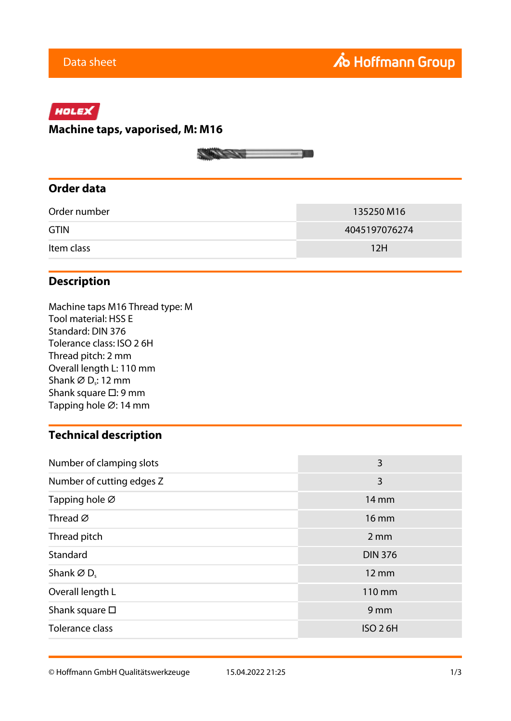# HOLEX

#### **Machine taps, vaporised, M: M16**



## **Order data**

| Order number | 135250 M16    |
|--------------|---------------|
| <b>GTIN</b>  | 4045197076274 |
| Item class   | 12H           |

### **Description**

Machine taps M16 Thread type: M Tool material: HSS E Standard: DIN 376 Tolerance class: ISO 2 6H Thread pitch: 2 mm Overall length L: 110 mm Shank  $\varnothing$  D<sub>s</sub>: 12 mm Shank square □: 9 mm Tapping hole ⌀: 14 mm

### **Technical description**

| Number of clamping slots  | 3                |  |  |
|---------------------------|------------------|--|--|
| Number of cutting edges Z | 3                |  |  |
| Tapping hole Ø            | 14 mm            |  |  |
| Thread $\varnothing$      | 16 mm            |  |  |
| Thread pitch              | $2 \, \text{mm}$ |  |  |
| Standard                  | <b>DIN 376</b>   |  |  |
| Shank $\varnothing$ D.    | 12 mm            |  |  |
| Overall length L          | 110 mm           |  |  |
| Shank square $\square$    | 9 <sub>mm</sub>  |  |  |
| Tolerance class           | <b>ISO 26H</b>   |  |  |

© Hoffmann GmbH Qualitätswerkzeuge 15.04.2022 21:25 1/3